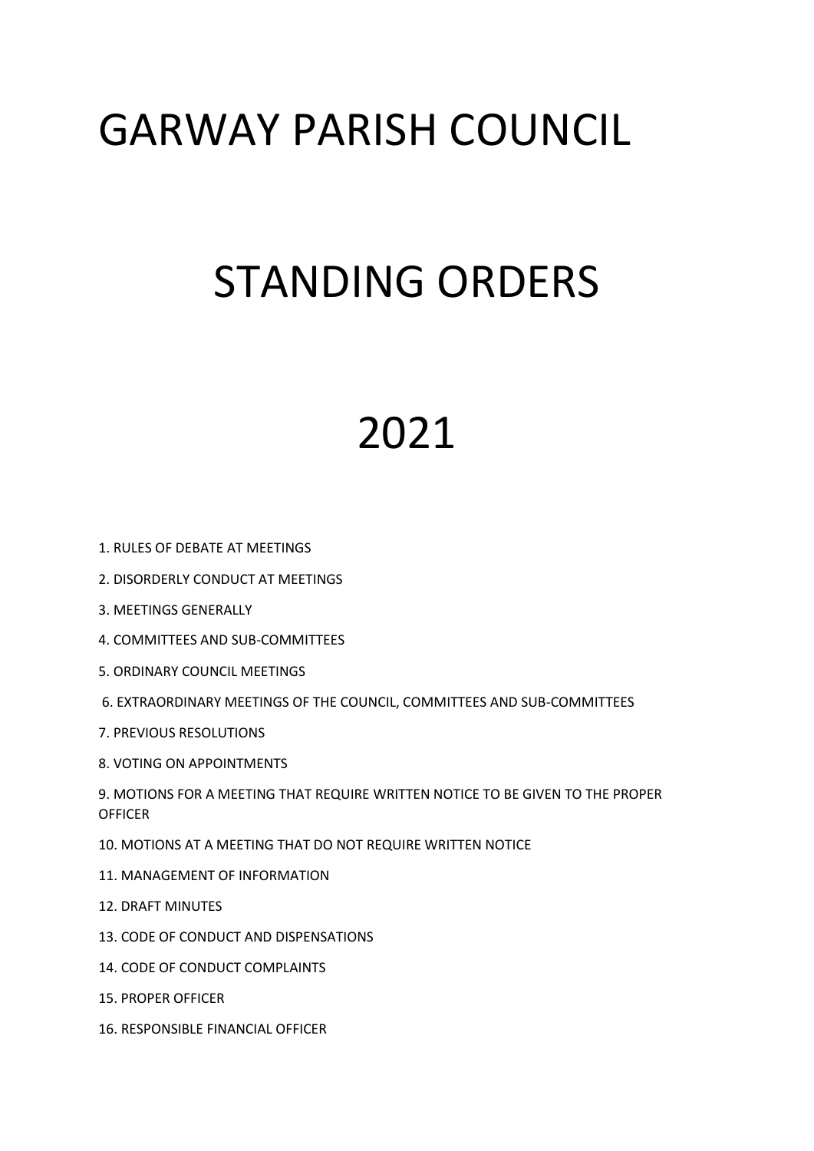## GARWAY PARISH COUNCIL

# STANDING ORDERS

## 2021

- 1. RULES OF DEBATE AT MEETINGS
- 2. DISORDERLY CONDUCT AT MEETINGS
- 3. MEETINGS GENERALLY
- 4. COMMITTEES AND SUB-COMMITTEES
- 5. ORDINARY COUNCIL MEETINGS
- 6. EXTRAORDINARY MEETINGS OF THE COUNCIL, COMMITTEES AND SUB-COMMITTEES
- 7. PREVIOUS RESOLUTIONS
- 8. VOTING ON APPOINTMENTS

9. MOTIONS FOR A MEETING THAT REQUIRE WRITTEN NOTICE TO BE GIVEN TO THE PROPER **OFFICER** 

- 10. MOTIONS AT A MEETING THAT DO NOT REQUIRE WRITTEN NOTICE
- 11. MANAGEMENT OF INFORMATION
- 12. DRAFT MINUTES
- 13. CODE OF CONDUCT AND DISPENSATIONS
- 14. CODE OF CONDUCT COMPLAINTS
- 15. PROPER OFFICER
- 16. RESPONSIBLE FINANCIAL OFFICER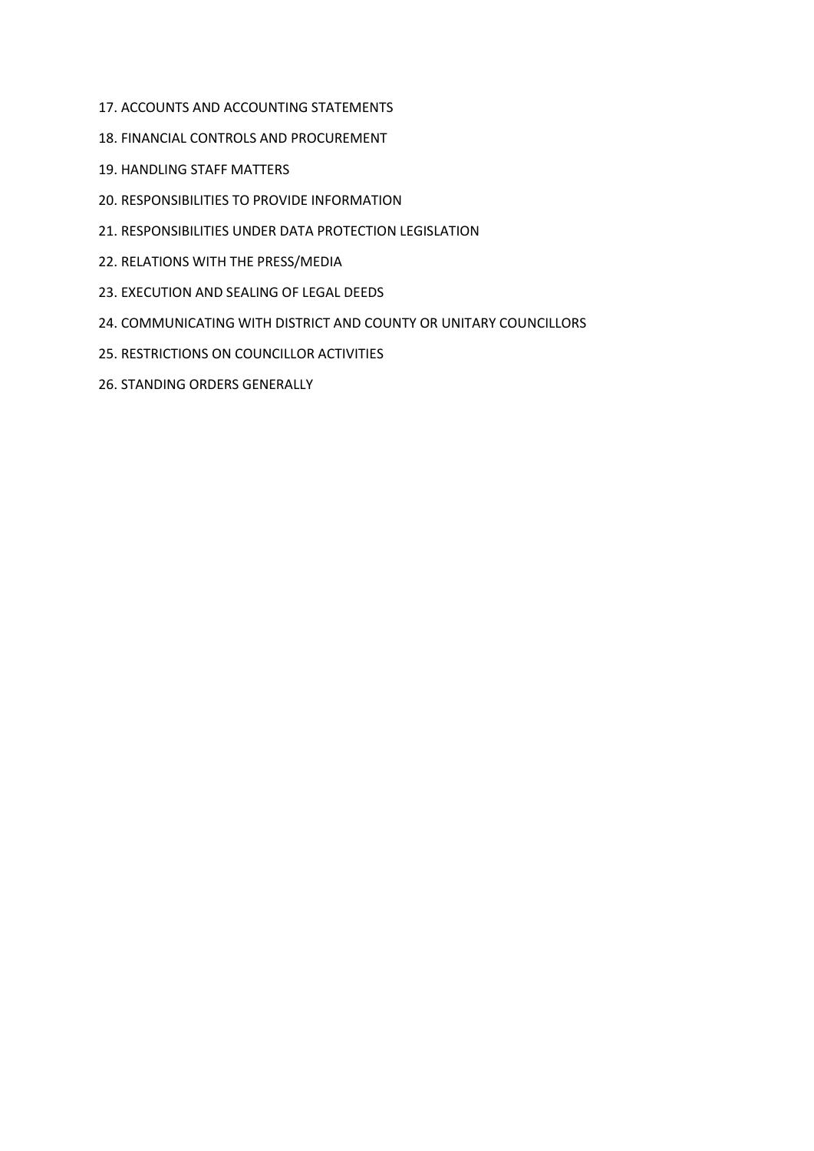- 17. ACCOUNTS AND ACCOUNTING STATEMENTS
- 18. FINANCIAL CONTROLS AND PROCUREMENT
- 19. HANDLING STAFF MATTERS
- 20. RESPONSIBILITIES TO PROVIDE INFORMATION
- 21. RESPONSIBILITIES UNDER DATA PROTECTION LEGISLATION
- 22. RELATIONS WITH THE PRESS/MEDIA
- 23. EXECUTION AND SEALING OF LEGAL DEEDS
- 24. COMMUNICATING WITH DISTRICT AND COUNTY OR UNITARY COUNCILLORS
- 25. RESTRICTIONS ON COUNCILLOR ACTIVITIES
- 26. STANDING ORDERS GENERALLY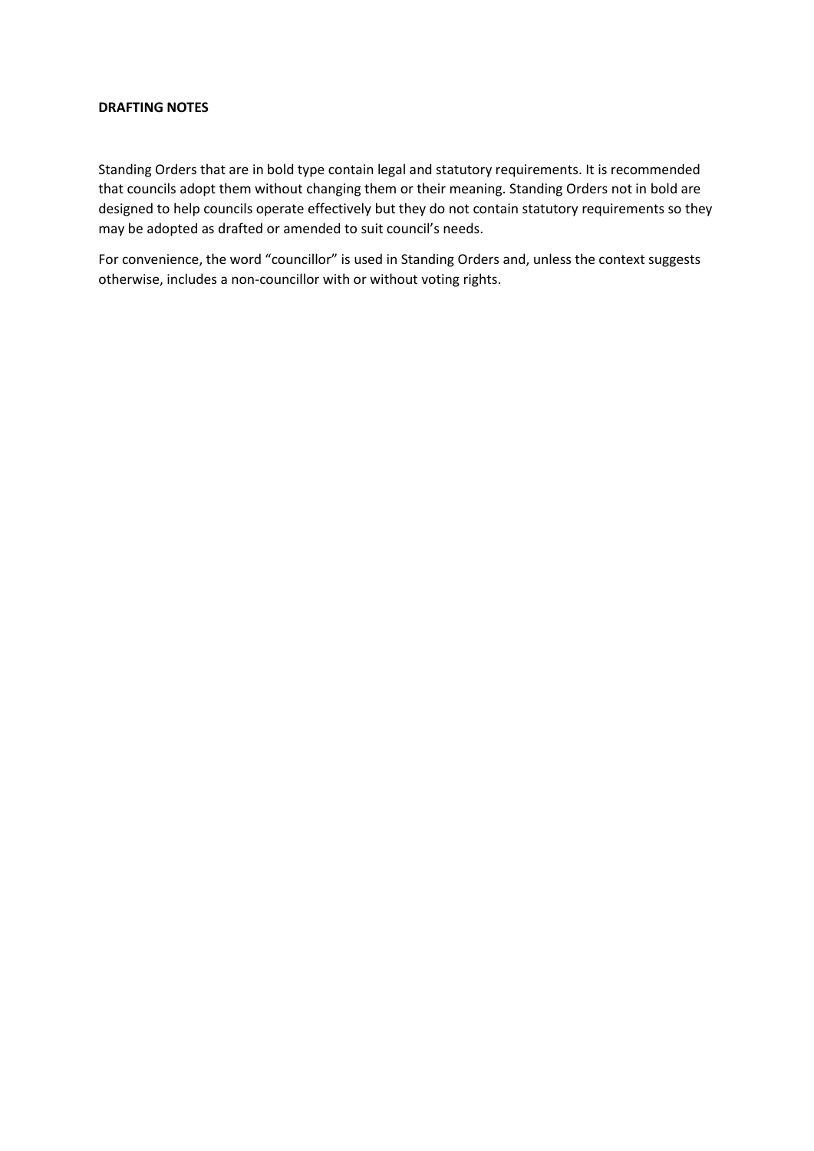#### **DRAFTING NOTES**

Standing Orders that are in bold type contain legal and statutory requirements. It is recommended that councils adopt them without changing them or their meaning. Standing Orders not in bold are designed to help councils operate effectively but they do not contain statutory requirements so they may be adopted as drafted or amended to suit council's needs.

For convenience, the word "councillor" is used in Standing Orders and, unless the context suggests otherwise, includes a non-councillor with or without voting rights.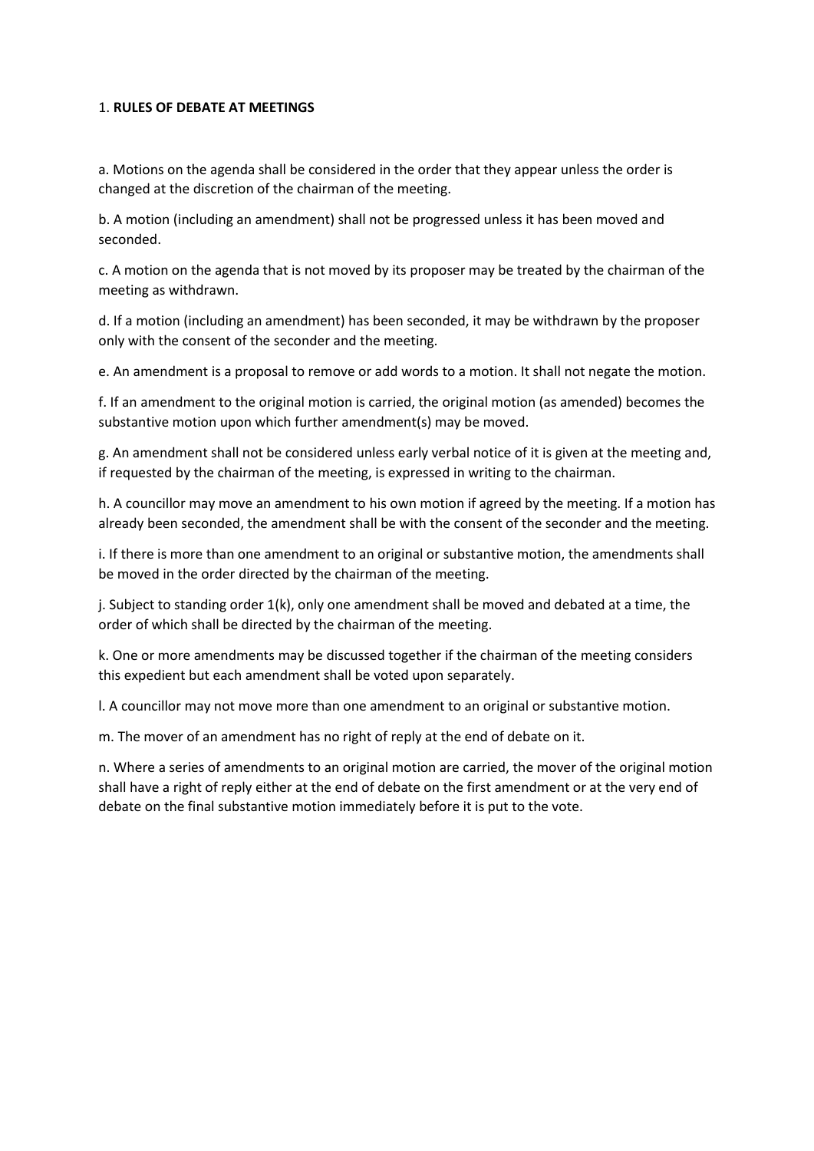### 1. **RULES OF DEBATE AT MEETINGS**

a. Motions on the agenda shall be considered in the order that they appear unless the order is changed at the discretion of the chairman of the meeting.

b. A motion (including an amendment) shall not be progressed unless it has been moved and seconded.

c. A motion on the agenda that is not moved by its proposer may be treated by the chairman of the meeting as withdrawn.

d. If a motion (including an amendment) has been seconded, it may be withdrawn by the proposer only with the consent of the seconder and the meeting.

e. An amendment is a proposal to remove or add words to a motion. It shall not negate the motion.

f. If an amendment to the original motion is carried, the original motion (as amended) becomes the substantive motion upon which further amendment(s) may be moved.

g. An amendment shall not be considered unless early verbal notice of it is given at the meeting and, if requested by the chairman of the meeting, is expressed in writing to the chairman.

h. A councillor may move an amendment to his own motion if agreed by the meeting. If a motion has already been seconded, the amendment shall be with the consent of the seconder and the meeting.

i. If there is more than one amendment to an original or substantive motion, the amendments shall be moved in the order directed by the chairman of the meeting.

j. Subject to standing order 1(k), only one amendment shall be moved and debated at a time, the order of which shall be directed by the chairman of the meeting.

k. One or more amendments may be discussed together if the chairman of the meeting considers this expedient but each amendment shall be voted upon separately.

l. A councillor may not move more than one amendment to an original or substantive motion.

m. The mover of an amendment has no right of reply at the end of debate on it.

n. Where a series of amendments to an original motion are carried, the mover of the original motion shall have a right of reply either at the end of debate on the first amendment or at the very end of debate on the final substantive motion immediately before it is put to the vote.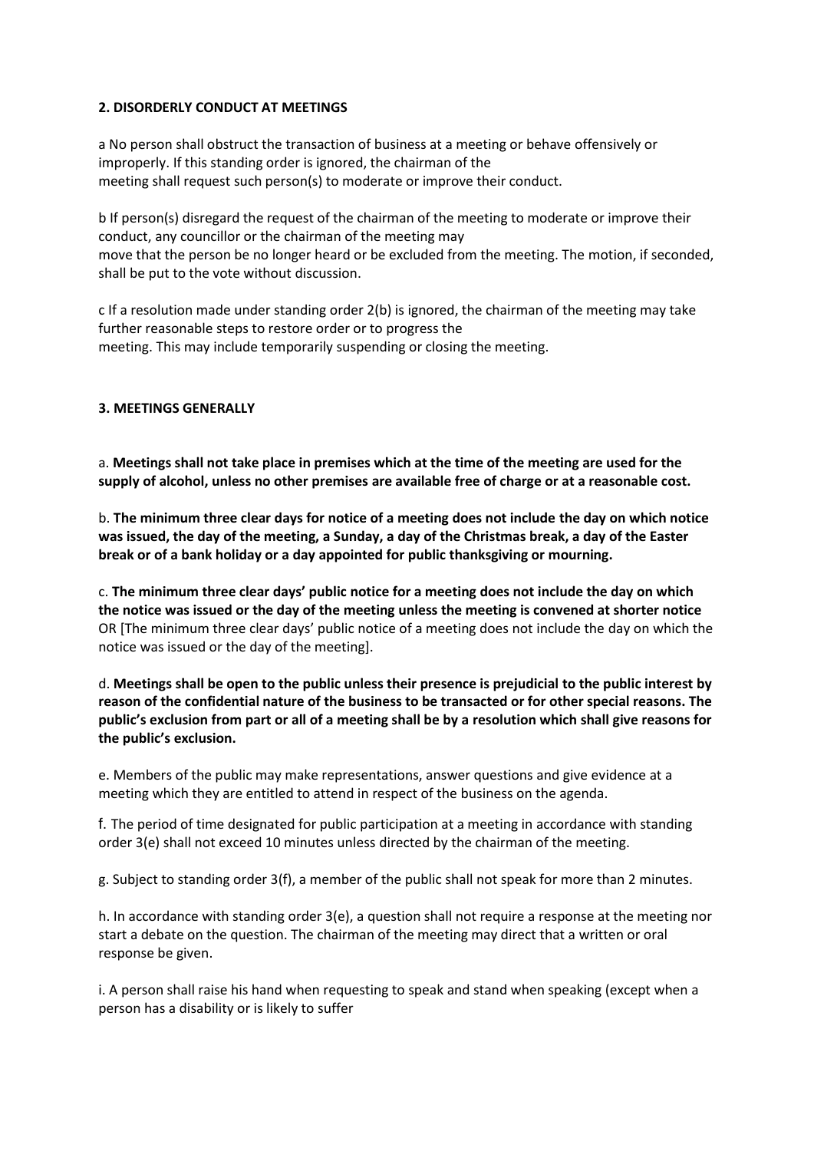## **2. DISORDERLY CONDUCT AT MEETINGS**

a No person shall obstruct the transaction of business at a meeting or behave offensively or improperly. If this standing order is ignored, the chairman of the meeting shall request such person(s) to moderate or improve their conduct.

b If person(s) disregard the request of the chairman of the meeting to moderate or improve their conduct, any councillor or the chairman of the meeting may move that the person be no longer heard or be excluded from the meeting. The motion, if seconded, shall be put to the vote without discussion.

c If a resolution made under standing order 2(b) is ignored, the chairman of the meeting may take further reasonable steps to restore order or to progress the meeting. This may include temporarily suspending or closing the meeting.

## **3. MEETINGS GENERALLY**

a. **Meetings shall not take place in premises which at the time of the meeting are used for the supply of alcohol, unless no other premises are available free of charge or at a reasonable cost.**

b. **The minimum three clear days for notice of a meeting does not include the day on which notice was issued, the day of the meeting, a Sunday, a day of the Christmas break, a day of the Easter break or of a bank holiday or a day appointed for public thanksgiving or mourning.**

c. **The minimum three clear days' public notice for a meeting does not include the day on which the notice was issued or the day of the meeting unless the meeting is convened at shorter notice**  OR [The minimum three clear days' public notice of a meeting does not include the day on which the notice was issued or the day of the meeting].

d. **Meetings shall be open to the public unless their presence is prejudicial to the public interest by reason of the confidential nature of the business to be transacted or for other special reasons. The public's exclusion from part or all of a meeting shall be by a resolution which shall give reasons for the public's exclusion.**

e. Members of the public may make representations, answer questions and give evidence at a meeting which they are entitled to attend in respect of the business on the agenda.

f. The period of time designated for public participation at a meeting in accordance with standing order 3(e) shall not exceed 10 minutes unless directed by the chairman of the meeting.

g. Subject to standing order 3(f), a member of the public shall not speak for more than 2 minutes.

h. In accordance with standing order 3(e), a question shall not require a response at the meeting nor start a debate on the question. The chairman of the meeting may direct that a written or oral response be given.

i. A person shall raise his hand when requesting to speak and stand when speaking (except when a person has a disability or is likely to suffer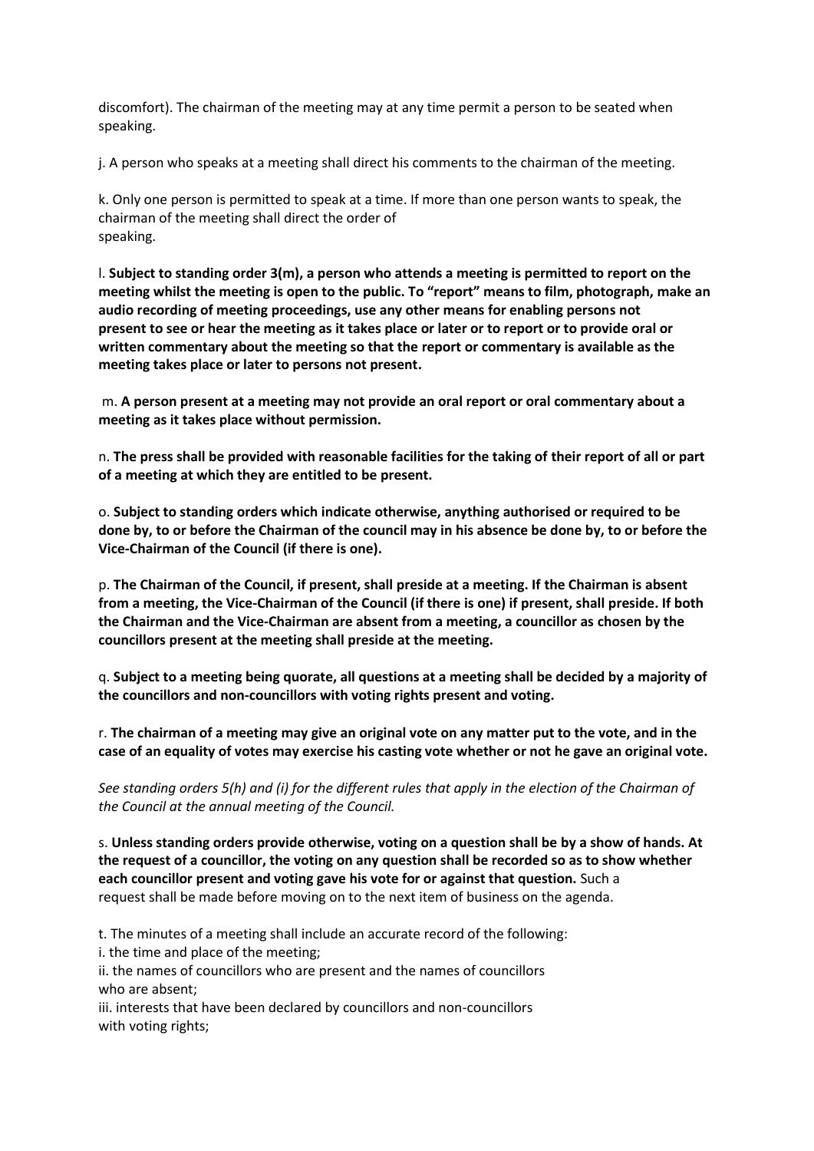discomfort). The chairman of the meeting may at any time permit a person to be seated when speaking.

j. A person who speaks at a meeting shall direct his comments to the chairman of the meeting.

k. Only one person is permitted to speak at a time. If more than one person wants to speak, the chairman of the meeting shall direct the order of speaking.

l. **Subject to standing order 3(m), a person who attends a meeting is permitted to report on the meeting whilst the meeting is open to the public. To "report" means to film, photograph, make an audio recording of meeting proceedings, use any other means for enabling persons not present to see or hear the meeting as it takes place or later or to report or to provide oral or written commentary about the meeting so that the report or commentary is available as the meeting takes place or later to persons not present.**

m. **A person present at a meeting may not provide an oral report or oral commentary about a meeting as it takes place without permission.**

n. **The press shall be provided with reasonable facilities for the taking of their report of all or part of a meeting at which they are entitled to be present.**

o. **Subject to standing orders which indicate otherwise, anything authorised or required to be done by, to or before the Chairman of the council may in his absence be done by, to or before the Vice-Chairman of the Council (if there is one).**

p. **The Chairman of the Council, if present, shall preside at a meeting. If the Chairman is absent from a meeting, the Vice-Chairman of the Council (if there is one) if present, shall preside. If both the Chairman and the Vice-Chairman are absent from a meeting, a councillor as chosen by the councillors present at the meeting shall preside at the meeting.**

q. **Subject to a meeting being quorate, all questions at a meeting shall be decided by a majority of the councillors and non-councillors with voting rights present and voting.**

r. **The chairman of a meeting may give an original vote on any matter put to the vote, and in the case of an equality of votes may exercise his casting vote whether or not he gave an original vote.**

*See standing orders 5(h) and (i) for the different rules that apply in the election of the Chairman of the Council at the annual meeting of the Council.*

s. **Unless standing orders provide otherwise, voting on a question shall be by a show of hands. At the request of a councillor, the voting on any question shall be recorded so as to show whether each councillor present and voting gave his vote for or against that question.** Such a request shall be made before moving on to the next item of business on the agenda.

t. The minutes of a meeting shall include an accurate record of the following:

i. the time and place of the meeting;

ii. the names of councillors who are present and the names of councillors who are absent;

iii. interests that have been declared by councillors and non-councillors with voting rights;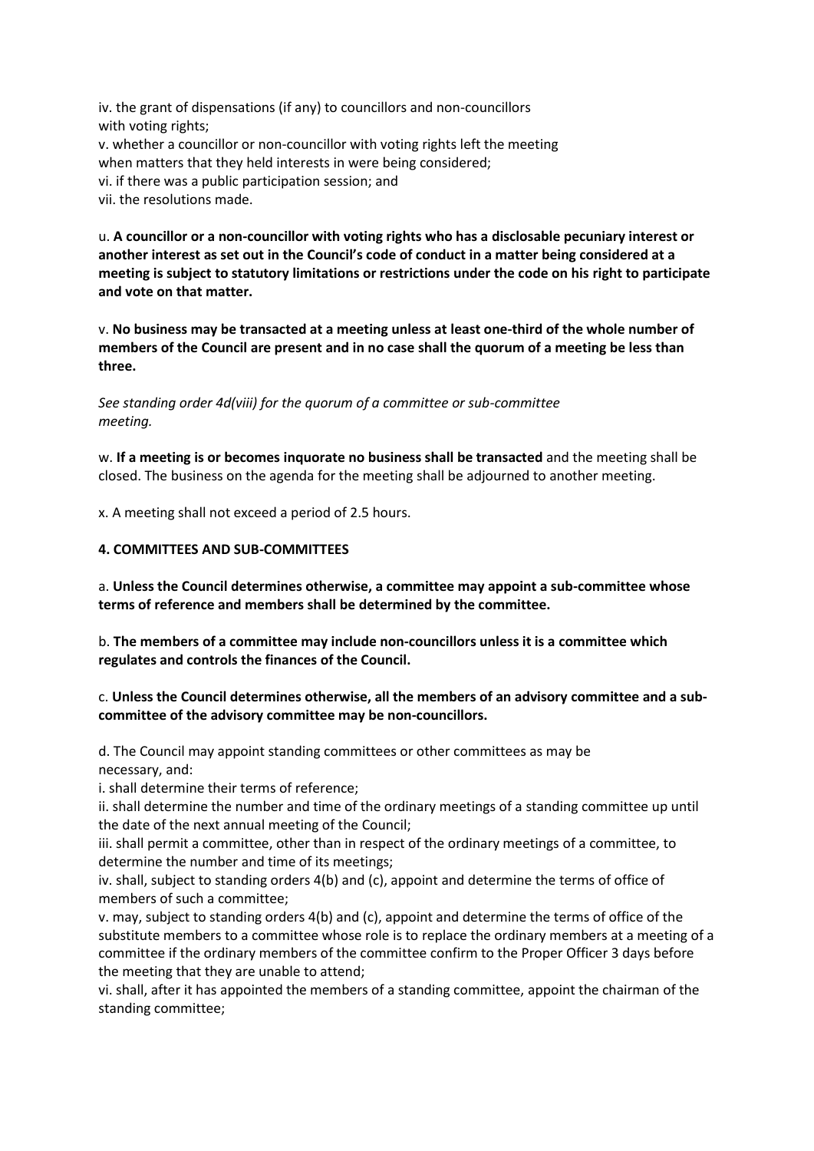iv. the grant of dispensations (if any) to councillors and non-councillors with voting rights; v. whether a councillor or non-councillor with voting rights left the meeting when matters that they held interests in were being considered; vi. if there was a public participation session; and vii. the resolutions made.

u. **A councillor or a non-councillor with voting rights who has a disclosable pecuniary interest or another interest as set out in the Council's code of conduct in a matter being considered at a meeting is subject to statutory limitations or restrictions under the code on his right to participate and vote on that matter.**

v. **No business may be transacted at a meeting unless at least one-third of the whole number of members of the Council are present and in no case shall the quorum of a meeting be less than three.**

*See standing order 4d(viii) for the quorum of a committee or sub-committee meeting.*

w. **If a meeting is or becomes inquorate no business shall be transacted** and the meeting shall be closed. The business on the agenda for the meeting shall be adjourned to another meeting.

x. A meeting shall not exceed a period of 2.5 hours.

#### **4. COMMITTEES AND SUB-COMMITTEES**

a. **Unless the Council determines otherwise, a committee may appoint a sub-committee whose terms of reference and members shall be determined by the committee.**

b. **The members of a committee may include non-councillors unless it is a committee which regulates and controls the finances of the Council.**

## c. **Unless the Council determines otherwise, all the members of an advisory committee and a subcommittee of the advisory committee may be non-councillors.**

d. The Council may appoint standing committees or other committees as may be necessary, and:

i. shall determine their terms of reference;

ii. shall determine the number and time of the ordinary meetings of a standing committee up until the date of the next annual meeting of the Council;

iii. shall permit a committee, other than in respect of the ordinary meetings of a committee, to determine the number and time of its meetings;

iv. shall, subject to standing orders 4(b) and (c), appoint and determine the terms of office of members of such a committee;

v. may, subject to standing orders 4(b) and (c), appoint and determine the terms of office of the substitute members to a committee whose role is to replace the ordinary members at a meeting of a committee if the ordinary members of the committee confirm to the Proper Officer 3 days before the meeting that they are unable to attend;

vi. shall, after it has appointed the members of a standing committee, appoint the chairman of the standing committee;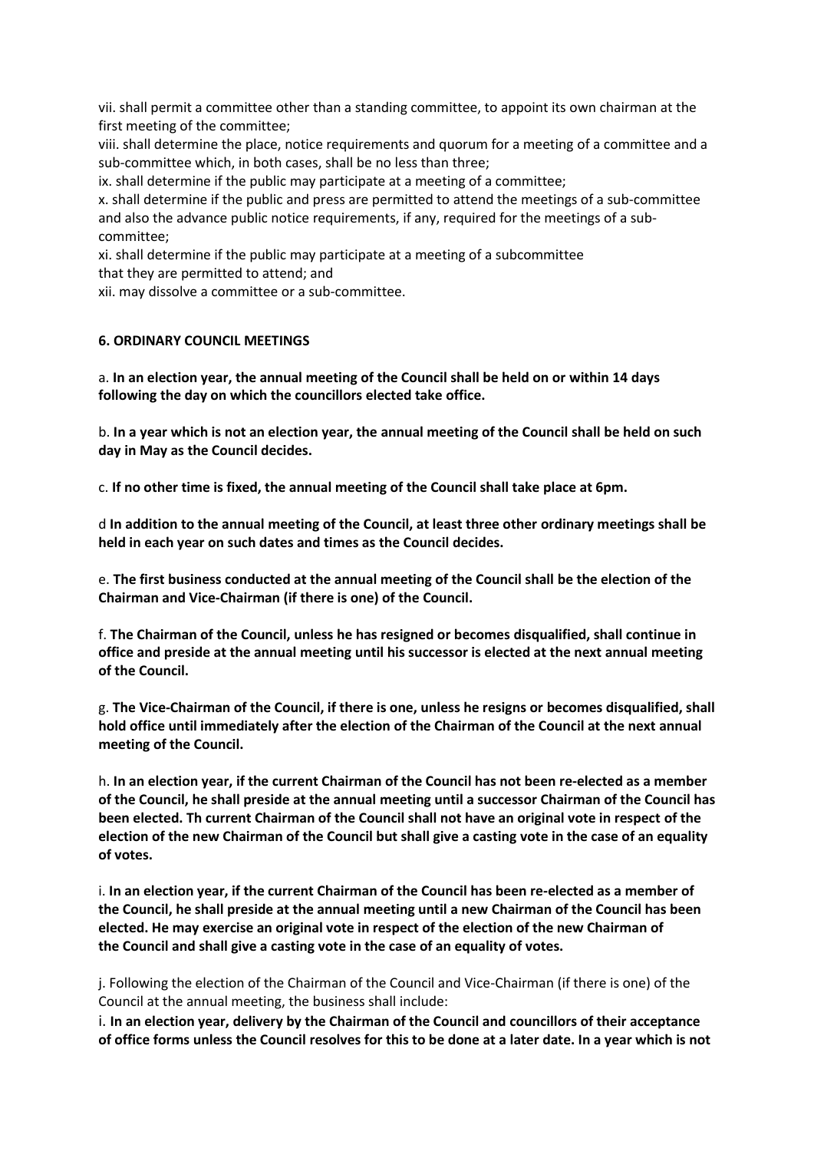vii. shall permit a committee other than a standing committee, to appoint its own chairman at the first meeting of the committee;

viii. shall determine the place, notice requirements and quorum for a meeting of a committee and a sub-committee which, in both cases, shall be no less than three;

ix. shall determine if the public may participate at a meeting of a committee;

x. shall determine if the public and press are permitted to attend the meetings of a sub-committee and also the advance public notice requirements, if any, required for the meetings of a subcommittee;

xi. shall determine if the public may participate at a meeting of a subcommittee that they are permitted to attend; and

xii. may dissolve a committee or a sub-committee.

### **6. ORDINARY COUNCIL MEETINGS**

a. **In an election year, the annual meeting of the Council shall be held on or within 14 days following the day on which the councillors elected take office.**

b. **In a year which is not an election year, the annual meeting of the Council shall be held on such day in May as the Council decides.**

c. **If no other time is fixed, the annual meeting of the Council shall take place at 6pm.**

d **In addition to the annual meeting of the Council, at least three other ordinary meetings shall be held in each year on such dates and times as the Council decides.**

e. **The first business conducted at the annual meeting of the Council shall be the election of the Chairman and Vice-Chairman (if there is one) of the Council.**

f. **The Chairman of the Council, unless he has resigned or becomes disqualified, shall continue in office and preside at the annual meeting until his successor is elected at the next annual meeting of the Council.**

g. **The Vice-Chairman of the Council, if there is one, unless he resigns or becomes disqualified, shall hold office until immediately after the election of the Chairman of the Council at the next annual meeting of the Council.**

h. **In an election year, if the current Chairman of the Council has not been re-elected as a member of the Council, he shall preside at the annual meeting until a successor Chairman of the Council has been elected. Th current Chairman of the Council shall not have an original vote in respect of the election of the new Chairman of the Council but shall give a casting vote in the case of an equality of votes.**

i. **In an election year, if the current Chairman of the Council has been re-elected as a member of the Council, he shall preside at the annual meeting until a new Chairman of the Council has been elected. He may exercise an original vote in respect of the election of the new Chairman of the Council and shall give a casting vote in the case of an equality of votes.**

j. Following the election of the Chairman of the Council and Vice-Chairman (if there is one) of the Council at the annual meeting, the business shall include:

i. **In an election year, delivery by the Chairman of the Council and councillors of their acceptance of office forms unless the Council resolves for this to be done at a later date. In a year which is not**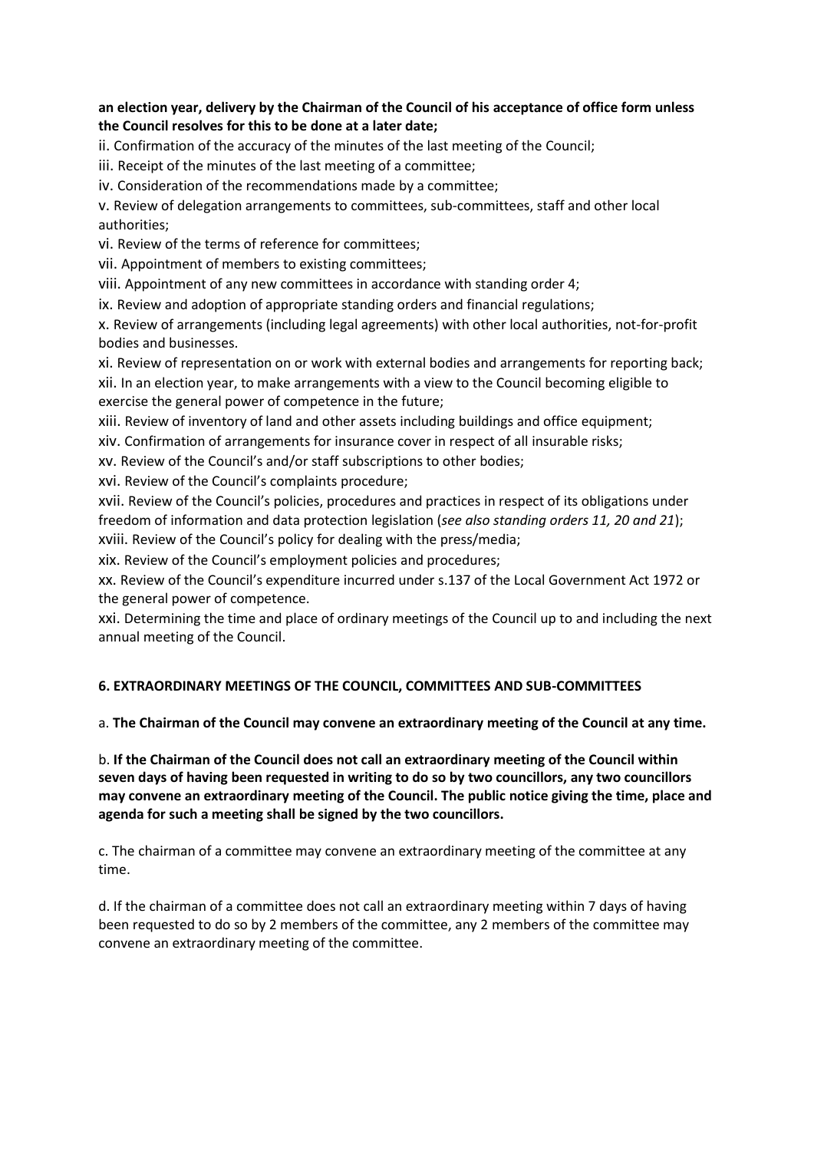## **an election year, delivery by the Chairman of the Council of his acceptance of office form unless the Council resolves for this to be done at a later date;**

ii. Confirmation of the accuracy of the minutes of the last meeting of the Council;

iii. Receipt of the minutes of the last meeting of a committee;

iv. Consideration of the recommendations made by a committee;

v. Review of delegation arrangements to committees, sub-committees, staff and other local authorities;

vi. Review of the terms of reference for committees;

vii. Appointment of members to existing committees;

viii. Appointment of any new committees in accordance with standing order 4;

ix. Review and adoption of appropriate standing orders and financial regulations;

x. Review of arrangements (including legal agreements) with other local authorities, not-for-profit bodies and businesses.

xi. Review of representation on or work with external bodies and arrangements for reporting back; xii. In an election year, to make arrangements with a view to the Council becoming eligible to exercise the general power of competence in the future;

xiii. Review of inventory of land and other assets including buildings and office equipment;

xiv. Confirmation of arrangements for insurance cover in respect of all insurable risks;

xv. Review of the Council's and/or staff subscriptions to other bodies;

xvi. Review of the Council's complaints procedure;

xvii. Review of the Council's policies, procedures and practices in respect of its obligations under freedom of information and data protection legislation (*see also standing orders 11, 20 and 21*);

xviii. Review of the Council's policy for dealing with the press/media;

xix. Review of the Council's employment policies and procedures;

xx. Review of the Council's expenditure incurred under s.137 of the Local Government Act 1972 or the general power of competence.

xxi. Determining the time and place of ordinary meetings of the Council up to and including the next annual meeting of the Council.

## **6. EXTRAORDINARY MEETINGS OF THE COUNCIL, COMMITTEES AND SUB-COMMITTEES**

a. **The Chairman of the Council may convene an extraordinary meeting of the Council at any time.**

b. **If the Chairman of the Council does not call an extraordinary meeting of the Council within seven days of having been requested in writing to do so by two councillors, any two councillors may convene an extraordinary meeting of the Council. The public notice giving the time, place and agenda for such a meeting shall be signed by the two councillors.**

c. The chairman of a committee may convene an extraordinary meeting of the committee at any time.

d. If the chairman of a committee does not call an extraordinary meeting within 7 days of having been requested to do so by 2 members of the committee, any 2 members of the committee may convene an extraordinary meeting of the committee.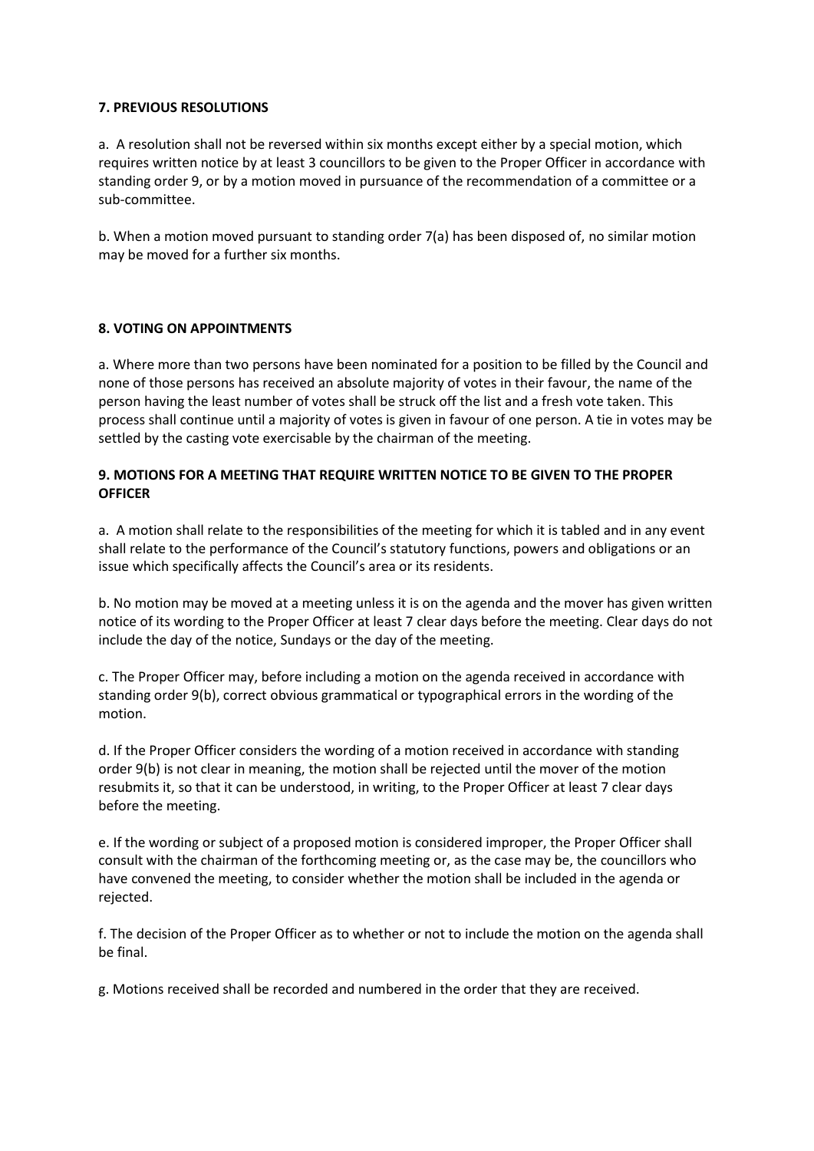## **7. PREVIOUS RESOLUTIONS**

a. A resolution shall not be reversed within six months except either by a special motion, which requires written notice by at least 3 councillors to be given to the Proper Officer in accordance with standing order 9, or by a motion moved in pursuance of the recommendation of a committee or a sub-committee.

b. When a motion moved pursuant to standing order 7(a) has been disposed of, no similar motion may be moved for a further six months.

## **8. VOTING ON APPOINTMENTS**

a. Where more than two persons have been nominated for a position to be filled by the Council and none of those persons has received an absolute majority of votes in their favour, the name of the person having the least number of votes shall be struck off the list and a fresh vote taken. This process shall continue until a majority of votes is given in favour of one person. A tie in votes may be settled by the casting vote exercisable by the chairman of the meeting.

## **9. MOTIONS FOR A MEETING THAT REQUIRE WRITTEN NOTICE TO BE GIVEN TO THE PROPER OFFICER**

a. A motion shall relate to the responsibilities of the meeting for which it is tabled and in any event shall relate to the performance of the Council's statutory functions, powers and obligations or an issue which specifically affects the Council's area or its residents.

b. No motion may be moved at a meeting unless it is on the agenda and the mover has given written notice of its wording to the Proper Officer at least 7 clear days before the meeting. Clear days do not include the day of the notice, Sundays or the day of the meeting.

c. The Proper Officer may, before including a motion on the agenda received in accordance with standing order 9(b), correct obvious grammatical or typographical errors in the wording of the motion.

d. If the Proper Officer considers the wording of a motion received in accordance with standing order 9(b) is not clear in meaning, the motion shall be rejected until the mover of the motion resubmits it, so that it can be understood, in writing, to the Proper Officer at least 7 clear days before the meeting.

e. If the wording or subject of a proposed motion is considered improper, the Proper Officer shall consult with the chairman of the forthcoming meeting or, as the case may be, the councillors who have convened the meeting, to consider whether the motion shall be included in the agenda or rejected.

f. The decision of the Proper Officer as to whether or not to include the motion on the agenda shall be final.

g. Motions received shall be recorded and numbered in the order that they are received.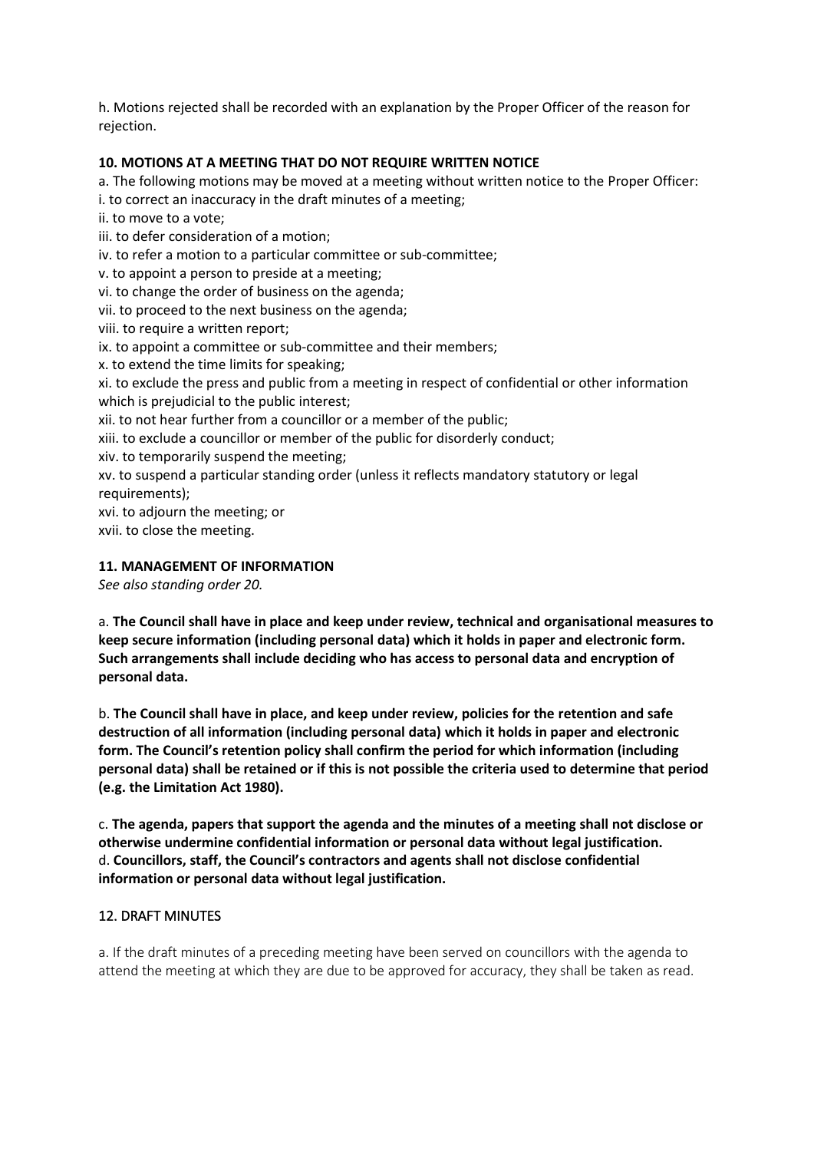h. Motions rejected shall be recorded with an explanation by the Proper Officer of the reason for rejection.

## **10. MOTIONS AT A MEETING THAT DO NOT REQUIRE WRITTEN NOTICE**

a. The following motions may be moved at a meeting without written notice to the Proper Officer:

i. to correct an inaccuracy in the draft minutes of a meeting;

ii. to move to a vote;

iii. to defer consideration of a motion;

- iv. to refer a motion to a particular committee or sub-committee;
- v. to appoint a person to preside at a meeting;
- vi. to change the order of business on the agenda;
- vii. to proceed to the next business on the agenda;
- viii. to require a written report;
- ix. to appoint a committee or sub-committee and their members;
- x. to extend the time limits for speaking;

xi. to exclude the press and public from a meeting in respect of confidential or other information which is prejudicial to the public interest;

xii. to not hear further from a councillor or a member of the public;

xiii. to exclude a councillor or member of the public for disorderly conduct;

- xiv. to temporarily suspend the meeting;
- xv. to suspend a particular standing order (unless it reflects mandatory statutory or legal requirements);

xvi. to adjourn the meeting; or

xvii. to close the meeting.

## **11. MANAGEMENT OF INFORMATION**

*See also standing order 20.*

a. **The Council shall have in place and keep under review, technical and organisational measures to keep secure information (including personal data) which it holds in paper and electronic form. Such arrangements shall include deciding who has access to personal data and encryption of personal data.**

b. **The Council shall have in place, and keep under review, policies for the retention and safe destruction of all information (including personal data) which it holds in paper and electronic form. The Council's retention policy shall confirm the period for which information (including personal data) shall be retained or if this is not possible the criteria used to determine that period (e.g. the Limitation Act 1980).**

c. **The agenda, papers that support the agenda and the minutes of a meeting shall not disclose or otherwise undermine confidential information or personal data without legal justification.** d. **Councillors, staff, the Council's contractors and agents shall not disclose confidential information or personal data without legal justification.**

## 12. DRAFT MINUTES

a. If the draft minutes of a preceding meeting have been served on councillors with the agenda to attend the meeting at which they are due to be approved for accuracy, they shall be taken as read.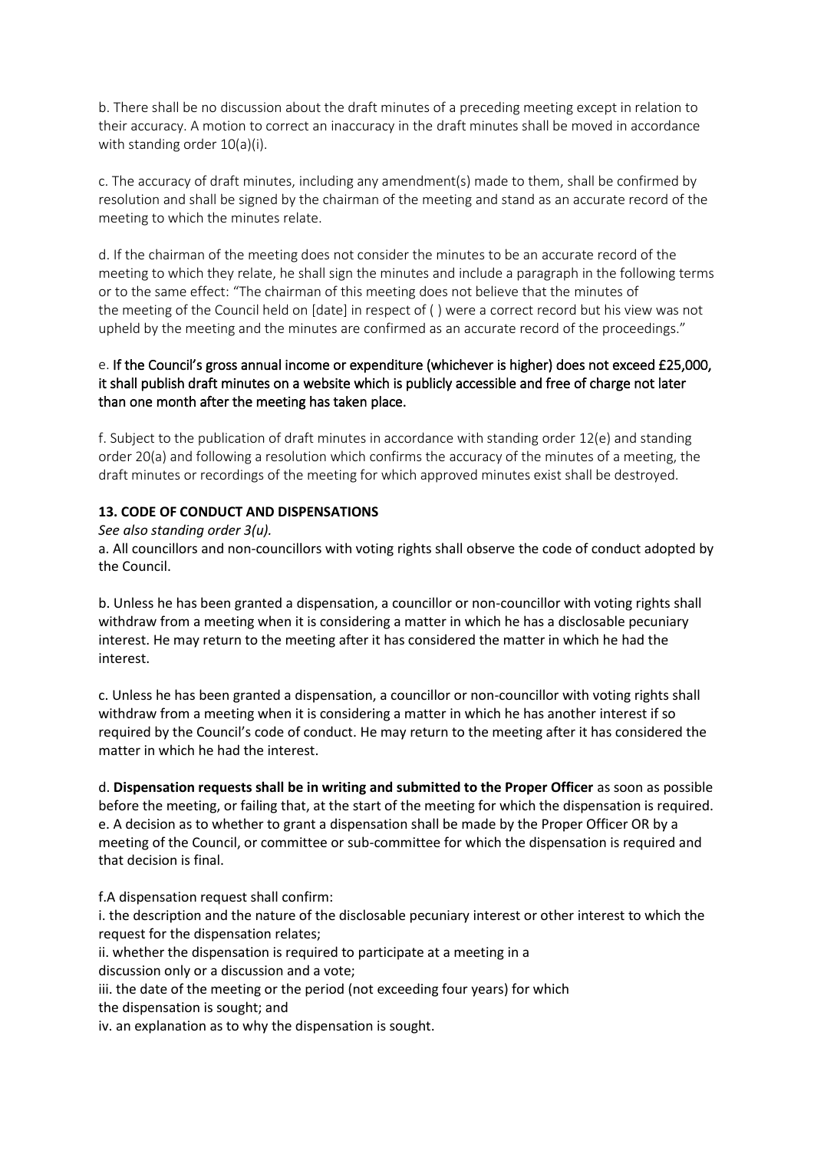b. There shall be no discussion about the draft minutes of a preceding meeting except in relation to their accuracy. A motion to correct an inaccuracy in the draft minutes shall be moved in accordance with standing order 10(a)(i).

c. The accuracy of draft minutes, including any amendment(s) made to them, shall be confirmed by resolution and shall be signed by the chairman of the meeting and stand as an accurate record of the meeting to which the minutes relate.

d. If the chairman of the meeting does not consider the minutes to be an accurate record of the meeting to which they relate, he shall sign the minutes and include a paragraph in the following terms or to the same effect: "The chairman of this meeting does not believe that the minutes of the meeting of the Council held on [date] in respect of ( ) were a correct record but his view was not upheld by the meeting and the minutes are confirmed as an accurate record of the proceedings."

## e. If the Council's gross annual income or expenditure (whichever is higher) does not exceed £25,000, it shall publish draft minutes on a website which is publicly accessible and free of charge not later than one month after the meeting has taken place.

f. Subject to the publication of draft minutes in accordance with standing order 12(e) and standing order 20(a) and following a resolution which confirms the accuracy of the minutes of a meeting, the draft minutes or recordings of the meeting for which approved minutes exist shall be destroyed.

## **13. CODE OF CONDUCT AND DISPENSATIONS**

## *See also standing order 3(u).*

a. All councillors and non-councillors with voting rights shall observe the code of conduct adopted by the Council.

b. Unless he has been granted a dispensation, a councillor or non-councillor with voting rights shall withdraw from a meeting when it is considering a matter in which he has a disclosable pecuniary interest. He may return to the meeting after it has considered the matter in which he had the interest.

c. Unless he has been granted a dispensation, a councillor or non-councillor with voting rights shall withdraw from a meeting when it is considering a matter in which he has another interest if so required by the Council's code of conduct. He may return to the meeting after it has considered the matter in which he had the interest.

d. **Dispensation requests shall be in writing and submitted to the Proper Officer** as soon as possible before the meeting, or failing that, at the start of the meeting for which the dispensation is required. e. A decision as to whether to grant a dispensation shall be made by the Proper Officer OR by a meeting of the Council, or committee or sub-committee for which the dispensation is required and that decision is final.

f.A dispensation request shall confirm:

i. the description and the nature of the disclosable pecuniary interest or other interest to which the request for the dispensation relates;

ii. whether the dispensation is required to participate at a meeting in a

discussion only or a discussion and a vote;

iii. the date of the meeting or the period (not exceeding four years) for which

the dispensation is sought; and

iv. an explanation as to why the dispensation is sought.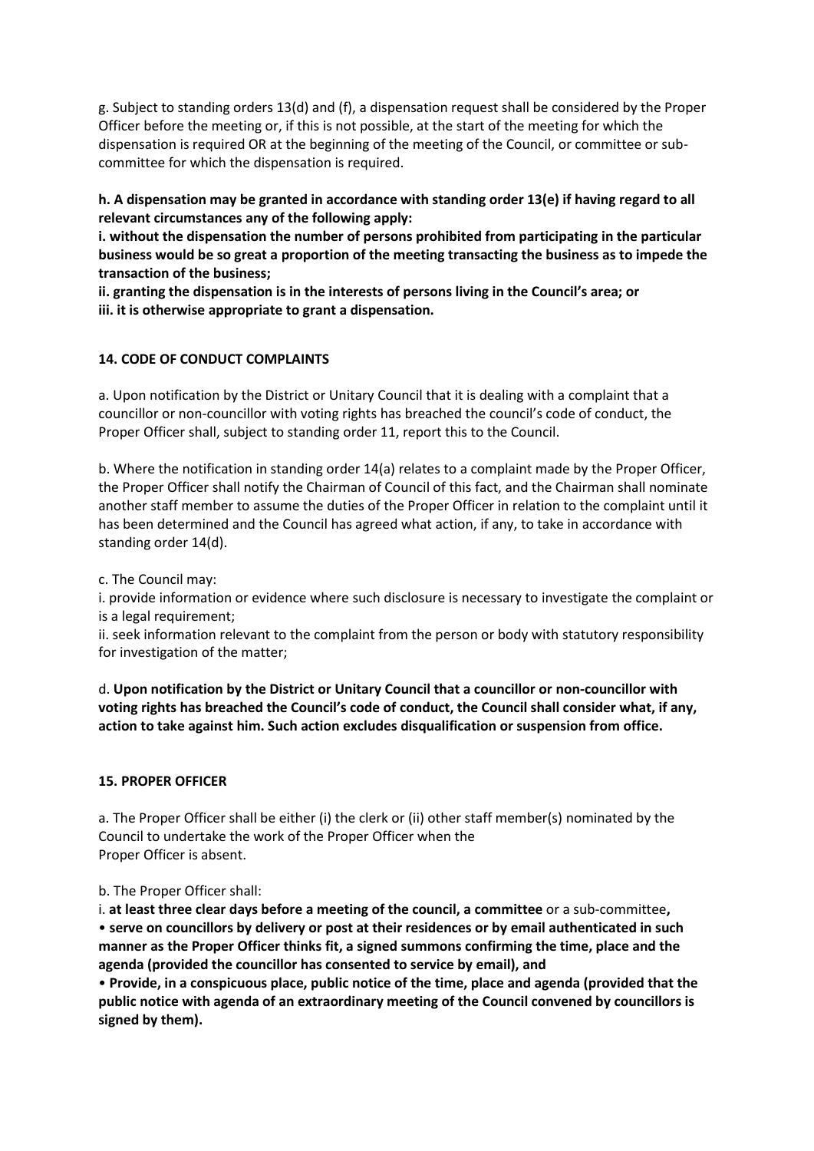g. Subject to standing orders 13(d) and (f), a dispensation request shall be considered by the Proper Officer before the meeting or, if this is not possible, at the start of the meeting for which the dispensation is required OR at the beginning of the meeting of the Council, or committee or subcommittee for which the dispensation is required.

**h. A dispensation may be granted in accordance with standing order 13(e) if having regard to all relevant circumstances any of the following apply:**

**i. without the dispensation the number of persons prohibited from participating in the particular business would be so great a proportion of the meeting transacting the business as to impede the transaction of the business;**

**ii. granting the dispensation is in the interests of persons living in the Council's area; or iii. it is otherwise appropriate to grant a dispensation.**

## **14. CODE OF CONDUCT COMPLAINTS**

a. Upon notification by the District or Unitary Council that it is dealing with a complaint that a councillor or non-councillor with voting rights has breached the council's code of conduct, the Proper Officer shall, subject to standing order 11, report this to the Council.

b. Where the notification in standing order 14(a) relates to a complaint made by the Proper Officer, the Proper Officer shall notify the Chairman of Council of this fact, and the Chairman shall nominate another staff member to assume the duties of the Proper Officer in relation to the complaint until it has been determined and the Council has agreed what action, if any, to take in accordance with standing order 14(d).

c. The Council may:

i. provide information or evidence where such disclosure is necessary to investigate the complaint or is a legal requirement;

ii. seek information relevant to the complaint from the person or body with statutory responsibility for investigation of the matter;

d. **Upon notification by the District or Unitary Council that a councillor or non-councillor with voting rights has breached the Council's code of conduct, the Council shall consider what, if any, action to take against him. Such action excludes disqualification or suspension from office.**

### **15. PROPER OFFICER**

a. The Proper Officer shall be either (i) the clerk or (ii) other staff member(s) nominated by the Council to undertake the work of the Proper Officer when the Proper Officer is absent.

b. The Proper Officer shall:

i. **at least three clear days before a meeting of the council, a committee** or a sub-committee**,** • **serve on councillors by delivery or post at their residences or by email authenticated in such manner as the Proper Officer thinks fit, a signed summons confirming the time, place and the agenda (provided the councillor has consented to service by email), and**

• **Provide, in a conspicuous place, public notice of the time, place and agenda (provided that the public notice with agenda of an extraordinary meeting of the Council convened by councillors is signed by them).**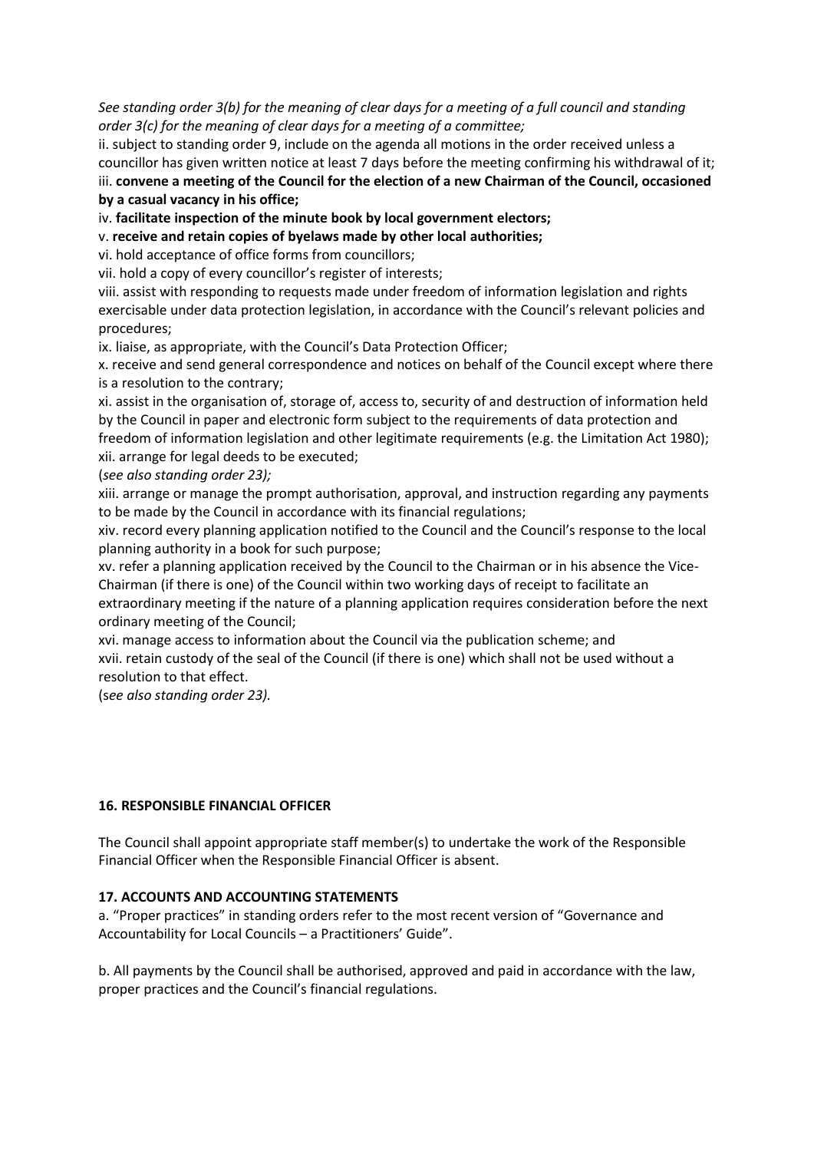*See standing order 3(b) for the meaning of clear days for a meeting of a full council and standing order 3(c) for the meaning of clear days for a meeting of a committee;*

ii. subject to standing order 9, include on the agenda all motions in the order received unless a councillor has given written notice at least 7 days before the meeting confirming his withdrawal of it; iii. **convene a meeting of the Council for the election of a new Chairman of the Council, occasioned by a casual vacancy in his office;**

iv. **facilitate inspection of the minute book by local government electors;**

v. **receive and retain copies of byelaws made by other local authorities;**

vi. hold acceptance of office forms from councillors;

vii. hold a copy of every councillor's register of interests;

viii. assist with responding to requests made under freedom of information legislation and rights exercisable under data protection legislation, in accordance with the Council's relevant policies and procedures;

ix. liaise, as appropriate, with the Council's Data Protection Officer;

x. receive and send general correspondence and notices on behalf of the Council except where there is a resolution to the contrary;

xi. assist in the organisation of, storage of, access to, security of and destruction of information held by the Council in paper and electronic form subject to the requirements of data protection and freedom of information legislation and other legitimate requirements (e.g. the Limitation Act 1980); xii. arrange for legal deeds to be executed;

(*see also standing order 23);*

xiii. arrange or manage the prompt authorisation, approval, and instruction regarding any payments to be made by the Council in accordance with its financial regulations;

xiv. record every planning application notified to the Council and the Council's response to the local planning authority in a book for such purpose;

xv. refer a planning application received by the Council to the Chairman or in his absence the Vice-Chairman (if there is one) of the Council within two working days of receipt to facilitate an extraordinary meeting if the nature of a planning application requires consideration before the next

ordinary meeting of the Council; xvi. manage access to information about the Council via the publication scheme; and xvii. retain custody of the seal of the Council (if there is one) which shall not be used without a

resolution to that effect.

(s*ee also standing order 23).*

### **16. RESPONSIBLE FINANCIAL OFFICER**

The Council shall appoint appropriate staff member(s) to undertake the work of the Responsible Financial Officer when the Responsible Financial Officer is absent.

### **17. ACCOUNTS AND ACCOUNTING STATEMENTS**

a. "Proper practices" in standing orders refer to the most recent version of "Governance and Accountability for Local Councils – a Practitioners' Guide".

b. All payments by the Council shall be authorised, approved and paid in accordance with the law, proper practices and the Council's financial regulations.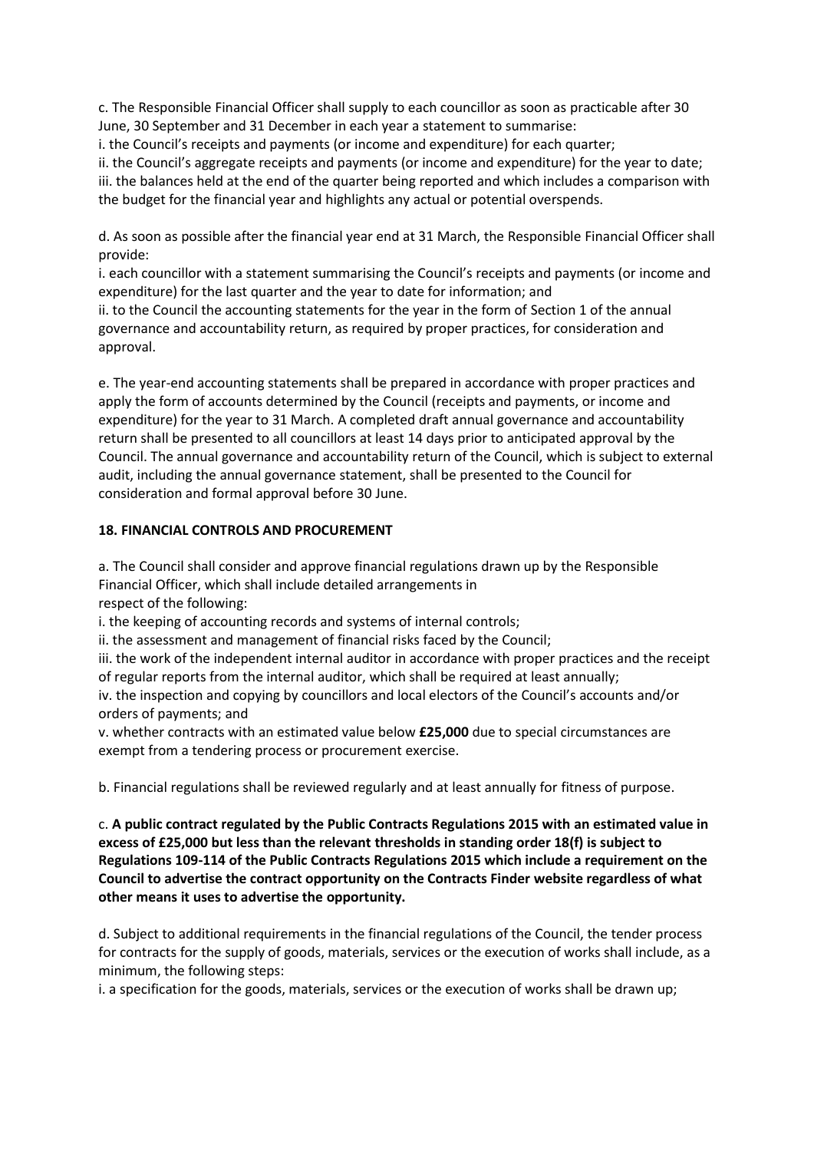c. The Responsible Financial Officer shall supply to each councillor as soon as practicable after 30 June, 30 September and 31 December in each year a statement to summarise:

i. the Council's receipts and payments (or income and expenditure) for each quarter;

ii. the Council's aggregate receipts and payments (or income and expenditure) for the year to date; iii. the balances held at the end of the quarter being reported and which includes a comparison with the budget for the financial year and highlights any actual or potential overspends.

d. As soon as possible after the financial year end at 31 March, the Responsible Financial Officer shall provide:

i. each councillor with a statement summarising the Council's receipts and payments (or income and expenditure) for the last quarter and the year to date for information; and

ii. to the Council the accounting statements for the year in the form of Section 1 of the annual governance and accountability return, as required by proper practices, for consideration and approval.

e. The year-end accounting statements shall be prepared in accordance with proper practices and apply the form of accounts determined by the Council (receipts and payments, or income and expenditure) for the year to 31 March. A completed draft annual governance and accountability return shall be presented to all councillors at least 14 days prior to anticipated approval by the Council. The annual governance and accountability return of the Council, which is subject to external audit, including the annual governance statement, shall be presented to the Council for consideration and formal approval before 30 June.

## **18. FINANCIAL CONTROLS AND PROCUREMENT**

a. The Council shall consider and approve financial regulations drawn up by the Responsible Financial Officer, which shall include detailed arrangements in respect of the following:

i. the keeping of accounting records and systems of internal controls;

ii. the assessment and management of financial risks faced by the Council;

iii. the work of the independent internal auditor in accordance with proper practices and the receipt of regular reports from the internal auditor, which shall be required at least annually;

iv. the inspection and copying by councillors and local electors of the Council's accounts and/or orders of payments; and

v. whether contracts with an estimated value below **£25,000** due to special circumstances are exempt from a tendering process or procurement exercise.

b. Financial regulations shall be reviewed regularly and at least annually for fitness of purpose.

c. **A public contract regulated by the Public Contracts Regulations 2015 with an estimated value in excess of £25,000 but less than the relevant thresholds in standing order 18(f) is subject to Regulations 109-114 of the Public Contracts Regulations 2015 which include a requirement on the Council to advertise the contract opportunity on the Contracts Finder website regardless of what other means it uses to advertise the opportunity.**

d. Subject to additional requirements in the financial regulations of the Council, the tender process for contracts for the supply of goods, materials, services or the execution of works shall include, as a minimum, the following steps:

i. a specification for the goods, materials, services or the execution of works shall be drawn up;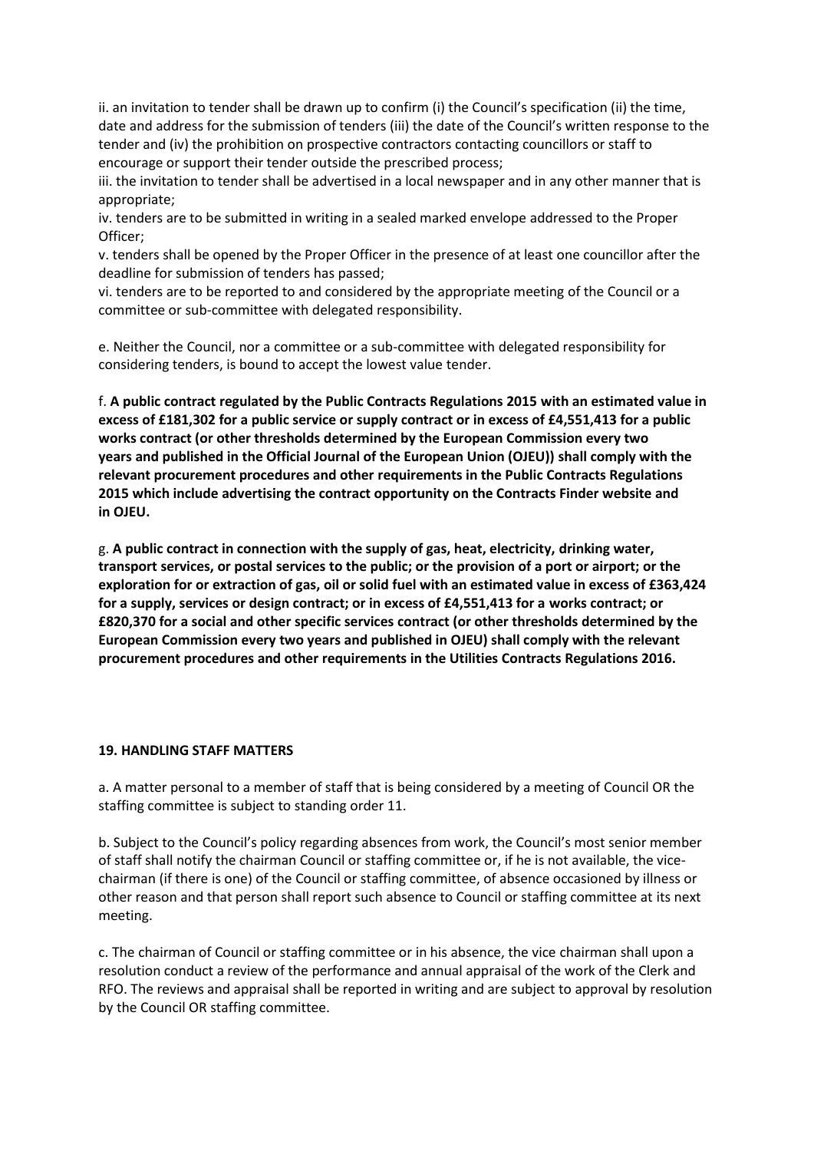ii. an invitation to tender shall be drawn up to confirm (i) the Council's specification (ii) the time, date and address for the submission of tenders (iii) the date of the Council's written response to the tender and (iv) the prohibition on prospective contractors contacting councillors or staff to encourage or support their tender outside the prescribed process;

iii. the invitation to tender shall be advertised in a local newspaper and in any other manner that is appropriate;

iv. tenders are to be submitted in writing in a sealed marked envelope addressed to the Proper Officer;

v. tenders shall be opened by the Proper Officer in the presence of at least one councillor after the deadline for submission of tenders has passed;

vi. tenders are to be reported to and considered by the appropriate meeting of the Council or a committee or sub-committee with delegated responsibility.

e. Neither the Council, nor a committee or a sub-committee with delegated responsibility for considering tenders, is bound to accept the lowest value tender.

f. **A public contract regulated by the Public Contracts Regulations 2015 with an estimated value in excess of £181,302 for a public service or supply contract or in excess of £4,551,413 for a public works contract (or other thresholds determined by the European Commission every two years and published in the Official Journal of the European Union (OJEU)) shall comply with the relevant procurement procedures and other requirements in the Public Contracts Regulations 2015 which include advertising the contract opportunity on the Contracts Finder website and in OJEU.**

g. **A public contract in connection with the supply of gas, heat, electricity, drinking water, transport services, or postal services to the public; or the provision of a port or airport; or the exploration for or extraction of gas, oil or solid fuel with an estimated value in excess of £363,424 for a supply, services or design contract; or in excess of £4,551,413 for a works contract; or £820,370 for a social and other specific services contract (or other thresholds determined by the European Commission every two years and published in OJEU) shall comply with the relevant procurement procedures and other requirements in the Utilities Contracts Regulations 2016.**

#### **19. HANDLING STAFF MATTERS**

a. A matter personal to a member of staff that is being considered by a meeting of Council OR the staffing committee is subject to standing order 11.

b. Subject to the Council's policy regarding absences from work, the Council's most senior member of staff shall notify the chairman Council or staffing committee or, if he is not available, the vicechairman (if there is one) of the Council or staffing committee, of absence occasioned by illness or other reason and that person shall report such absence to Council or staffing committee at its next meeting.

c. The chairman of Council or staffing committee or in his absence, the vice chairman shall upon a resolution conduct a review of the performance and annual appraisal of the work of the Clerk and RFO. The reviews and appraisal shall be reported in writing and are subject to approval by resolution by the Council OR staffing committee.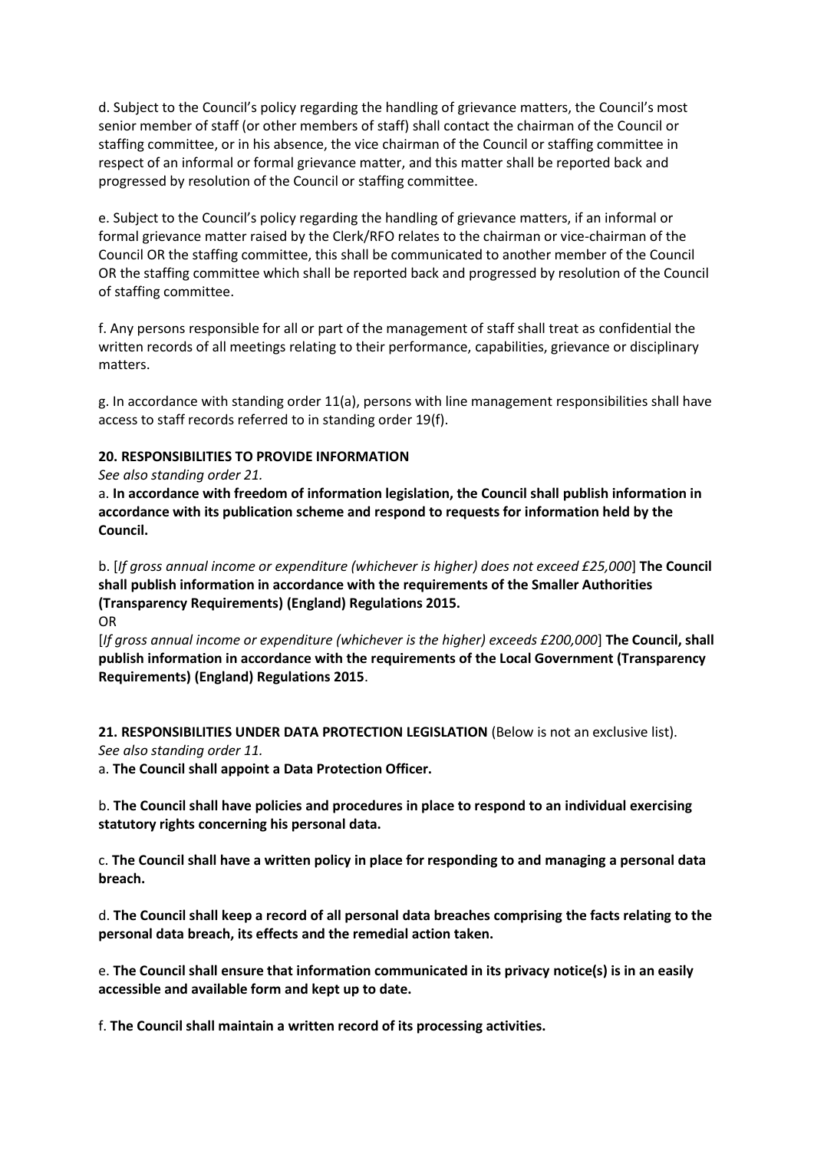d. Subject to the Council's policy regarding the handling of grievance matters, the Council's most senior member of staff (or other members of staff) shall contact the chairman of the Council or staffing committee, or in his absence, the vice chairman of the Council or staffing committee in respect of an informal or formal grievance matter, and this matter shall be reported back and progressed by resolution of the Council or staffing committee.

e. Subject to the Council's policy regarding the handling of grievance matters, if an informal or formal grievance matter raised by the Clerk/RFO relates to the chairman or vice-chairman of the Council OR the staffing committee, this shall be communicated to another member of the Council OR the staffing committee which shall be reported back and progressed by resolution of the Council of staffing committee.

f. Any persons responsible for all or part of the management of staff shall treat as confidential the written records of all meetings relating to their performance, capabilities, grievance or disciplinary matters.

g. In accordance with standing order 11(a), persons with line management responsibilities shall have access to staff records referred to in standing order 19(f).

## **20. RESPONSIBILITIES TO PROVIDE INFORMATION**

*See also standing order 21.*

a. **In accordance with freedom of information legislation, the Council shall publish information in accordance with its publication scheme and respond to requests for information held by the Council.**

b. [*If gross annual income or expenditure (whichever is higher) does not exceed £25,000*] **The Council shall publish information in accordance with the requirements of the Smaller Authorities (Transparency Requirements) (England) Regulations 2015.**

OR

[*If gross annual income or expenditure (whichever is the higher) exceeds £200,000*] **The Council, shall publish information in accordance with the requirements of the Local Government (Transparency Requirements) (England) Regulations 2015**.

**21. RESPONSIBILITIES UNDER DATA PROTECTION LEGISLATION** (Below is not an exclusive list). *See also standing order 11.*

a. **The Council shall appoint a Data Protection Officer.**

b. **The Council shall have policies and procedures in place to respond to an individual exercising statutory rights concerning his personal data.**

c. **The Council shall have a written policy in place for responding to and managing a personal data breach.**

d. **The Council shall keep a record of all personal data breaches comprising the facts relating to the personal data breach, its effects and the remedial action taken.**

e. **The Council shall ensure that information communicated in its privacy notice(s) is in an easily accessible and available form and kept up to date.**

f. **The Council shall maintain a written record of its processing activities.**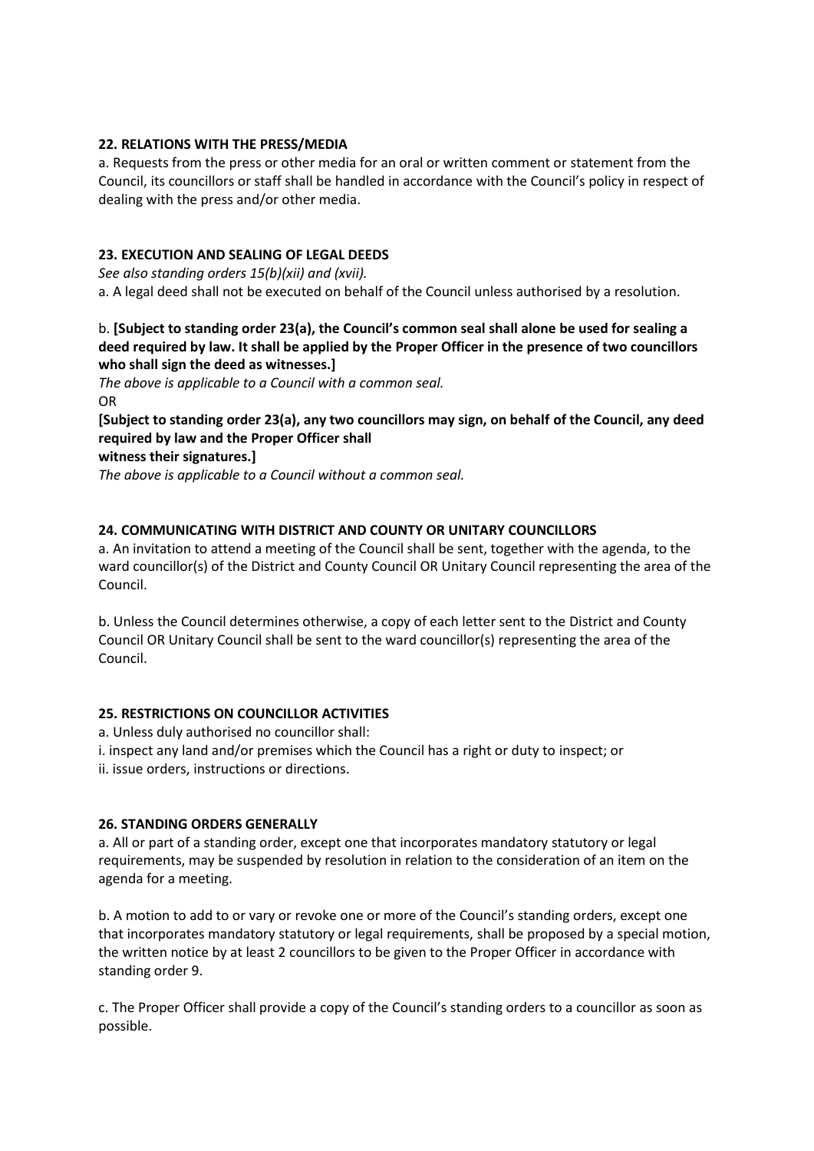## **22. RELATIONS WITH THE PRESS/MEDIA**

a. Requests from the press or other media for an oral or written comment or statement from the Council, its councillors or staff shall be handled in accordance with the Council's policy in respect of dealing with the press and/or other media.

## **23. EXECUTION AND SEALING OF LEGAL DEEDS**

*See also standing orders 15(b)(xii) and (xvii).* a. A legal deed shall not be executed on behalf of the Council unless authorised by a resolution.

## b. **[Subject to standing order 23(a), the Council's common seal shall alone be used for sealing a deed required by law. It shall be applied by the Proper Officer in the presence of two councillors who shall sign the deed as witnesses.]**

*The above is applicable to a Council with a common seal.* OR

**[Subject to standing order 23(a), any two councillors may sign, on behalf of the Council, any deed required by law and the Proper Officer shall**

**witness their signatures.]**

*The above is applicable to a Council without a common seal.*

### **24. COMMUNICATING WITH DISTRICT AND COUNTY OR UNITARY COUNCILLORS**

a. An invitation to attend a meeting of the Council shall be sent, together with the agenda, to the ward councillor(s) of the District and County Council OR Unitary Council representing the area of the Council.

b. Unless the Council determines otherwise, a copy of each letter sent to the District and County Council OR Unitary Council shall be sent to the ward councillor(s) representing the area of the Council.

### **25. RESTRICTIONS ON COUNCILLOR ACTIVITIES**

a. Unless duly authorised no councillor shall:

i. inspect any land and/or premises which the Council has a right or duty to inspect; or

ii. issue orders, instructions or directions.

### **26. STANDING ORDERS GENERALLY**

a. All or part of a standing order, except one that incorporates mandatory statutory or legal requirements, may be suspended by resolution in relation to the consideration of an item on the agenda for a meeting.

b. A motion to add to or vary or revoke one or more of the Council's standing orders, except one that incorporates mandatory statutory or legal requirements, shall be proposed by a special motion, the written notice by at least 2 councillors to be given to the Proper Officer in accordance with standing order 9.

c. The Proper Officer shall provide a copy of the Council's standing orders to a councillor as soon as possible.